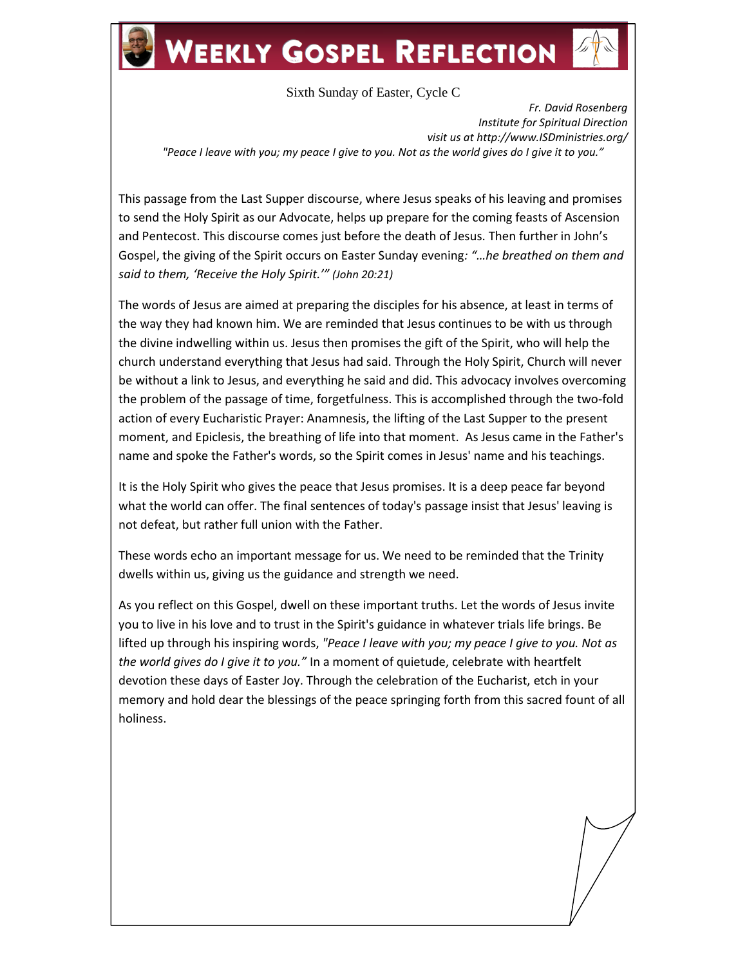## **WEEKLY GOSPEL REFLECTION**

Sixth Sunday of Easter, Cycle C

*Fr. David Rosenberg Institute for Spiritual Direction visit us at http://www.ISDministries.org/ "Peace I leave with you; my peace I give to you. Not as the world gives do I give it to you."*

This passage from the Last Supper discourse, where Jesus speaks of his leaving and promises to send the Holy Spirit as our Advocate, helps up prepare for the coming feasts of Ascension and Pentecost. This discourse comes just before the death of Jesus. Then further in John's Gospel, the giving of the Spirit occurs on Easter Sunday evening*: "…he breathed on them and said to them, 'Receive the Holy Spirit.'" (John 20:21)*

The words of Jesus are aimed at preparing the disciples for his absence, at least in terms of the way they had known him. We are reminded that Jesus continues to be with us through the divine indwelling within us. Jesus then promises the gift of the Spirit, who will help the church understand everything that Jesus had said. Through the Holy Spirit, Church will never be without a link to Jesus, and everything he said and did. This advocacy involves overcoming the problem of the passage of time, forgetfulness. This is accomplished through the two-fold action of every Eucharistic Prayer: Anamnesis, the lifting of the Last Supper to the present moment, and Epiclesis, the breathing of life into that moment. As Jesus came in the Father's name and spoke the Father's words, so the Spirit comes in Jesus' name and his teachings.

It is the Holy Spirit who gives the peace that Jesus promises. It is a deep peace far beyond what the world can offer. The final sentences of today's passage insist that Jesus' leaving is not defeat, but rather full union with the Father.

These words echo an important message for us. We need to be reminded that the Trinity dwells within us, giving us the guidance and strength we need.

As you reflect on this Gospel, dwell on these important truths. Let the words of Jesus invite you to live in his love and to trust in the Spirit's guidance in whatever trials life brings. Be lifted up through his inspiring words, *"Peace I leave with you; my peace I give to you. Not as the world gives do I give it to you."* In a moment of quietude, celebrate with heartfelt devotion these days of Easter Joy. Through the celebration of the Eucharist, etch in your memory and hold dear the blessings of the peace springing forth from this sacred fount of all holiness.